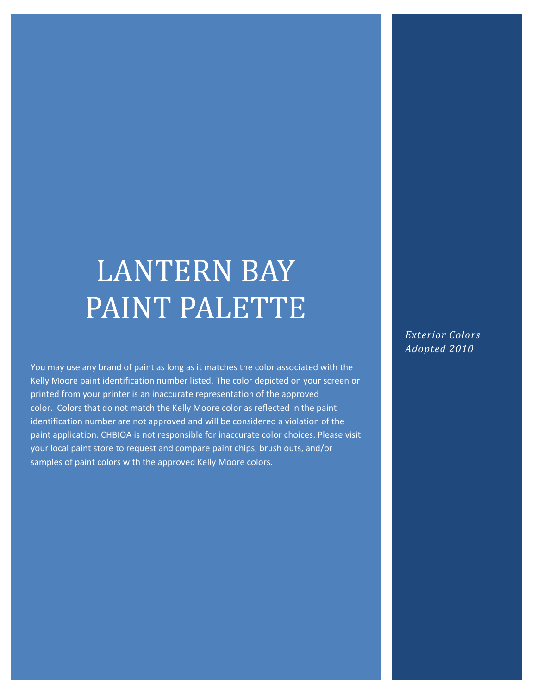# LANTERN BAY PAINT PALETTE

You may use any brand of paint as long as it matches the color associated with the Kelly Moore paint identification number listed. The color depicted on your screen or printed from your printer is an inaccurate representation of the approved color. Colors that do not match the Kelly Moore color as reflected in the paint identification number are not approved and will be considered a violation of the paint application. CHBIOA is not responsible for inaccurate color choices. Please visit your local paint store to request and compare paint chips, brush outs, and/or samples of paint colors with the approved Kelly Moore colors.

*Exterior Colors Adopted 2010*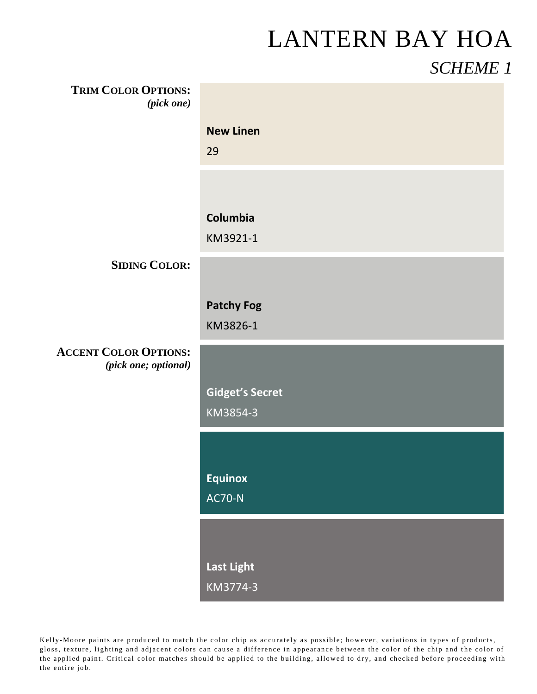# **TRIM COLOR OPTIONS:** *(pick one)* **SIDING COLOR: ACCENT COLOR OPTIONS:** *(pick one; optional)* **New Linen** 29 **Columbia** KM3921-1 **Patchy Fog** KM3826-1 **Gidget's Secret** KM3854-3 **Equinox** AC70-N **Last Light** KM3774-3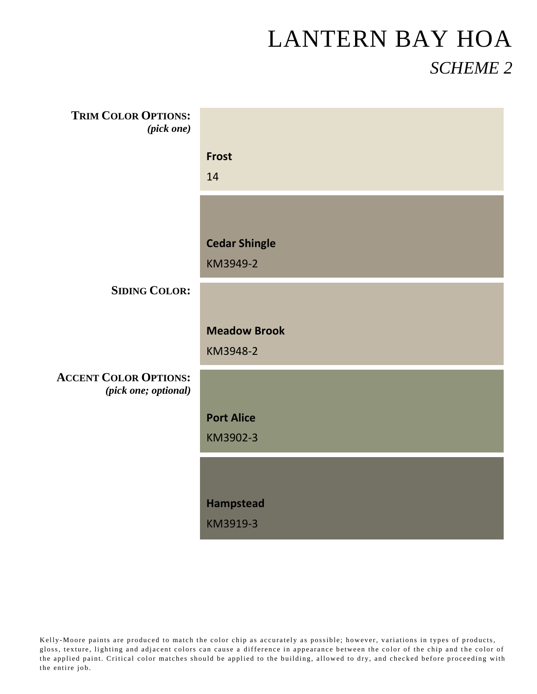| <b>TRIM COLOR OPTIONS:</b><br>(pick one)             |                      |
|------------------------------------------------------|----------------------|
|                                                      | <b>Frost</b>         |
|                                                      | 14                   |
|                                                      |                      |
|                                                      | <b>Cedar Shingle</b> |
|                                                      | KM3949-2             |
| <b>SIDING COLOR:</b>                                 |                      |
|                                                      | <b>Meadow Brook</b>  |
|                                                      | KM3948-2             |
| <b>ACCENT COLOR OPTIONS:</b><br>(pick one; optional) |                      |
|                                                      | <b>Port Alice</b>    |
|                                                      | KM3902-3             |
|                                                      |                      |
|                                                      | <b>Hampstead</b>     |
|                                                      | KM3919-3             |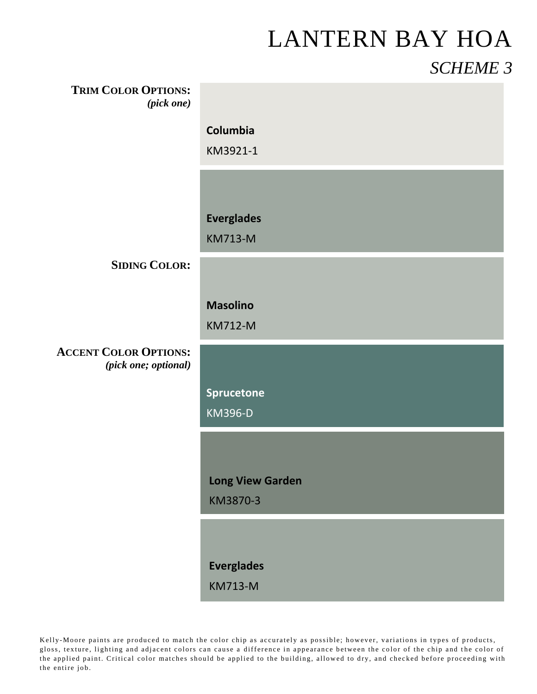| <b>TRIM COLOR OPTIONS:</b><br>(pick one)             |                         |
|------------------------------------------------------|-------------------------|
|                                                      | Columbia                |
|                                                      | KM3921-1                |
|                                                      |                         |
|                                                      | <b>Everglades</b>       |
|                                                      | <b>KM713-M</b>          |
| <b>SIDING COLOR:</b>                                 |                         |
|                                                      | <b>Masolino</b>         |
|                                                      | <b>KM712-M</b>          |
| <b>ACCENT COLOR OPTIONS:</b><br>(pick one; optional) |                         |
|                                                      | Sprucetone              |
|                                                      | <b>KM396-D</b>          |
|                                                      |                         |
|                                                      | <b>Long View Garden</b> |
|                                                      | KM3870-3                |
|                                                      |                         |
|                                                      | <b>Everglades</b>       |
|                                                      | <b>KM713-M</b>          |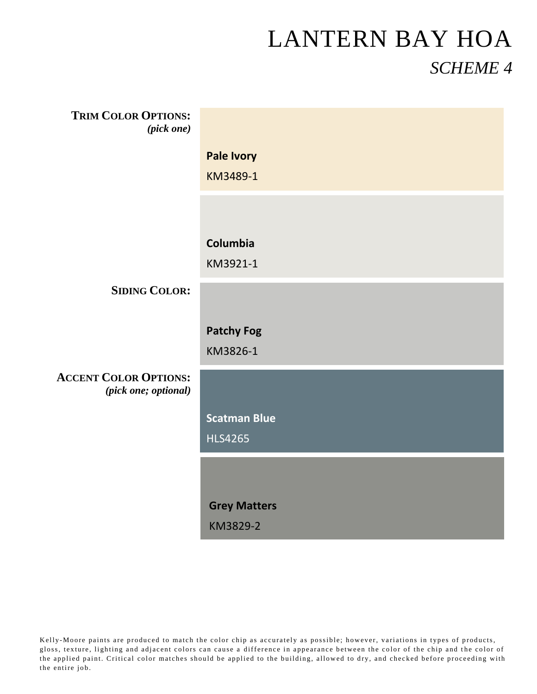| <b>TRIM COLOR OPTIONS:</b><br>$(pick \ one)$         |                               |
|------------------------------------------------------|-------------------------------|
|                                                      | <b>Pale Ivory</b><br>KM3489-1 |
|                                                      |                               |
|                                                      | Columbia<br>KM3921-1          |
| <b>SIDING COLOR:</b>                                 |                               |
|                                                      | <b>Patchy Fog</b><br>KM3826-1 |
| <b>ACCENT COLOR OPTIONS:</b><br>(pick one; optional) |                               |
|                                                      | <b>Scatman Blue</b>           |
|                                                      | <b>HLS4265</b>                |
|                                                      |                               |
|                                                      | <b>Grey Matters</b>           |
|                                                      |                               |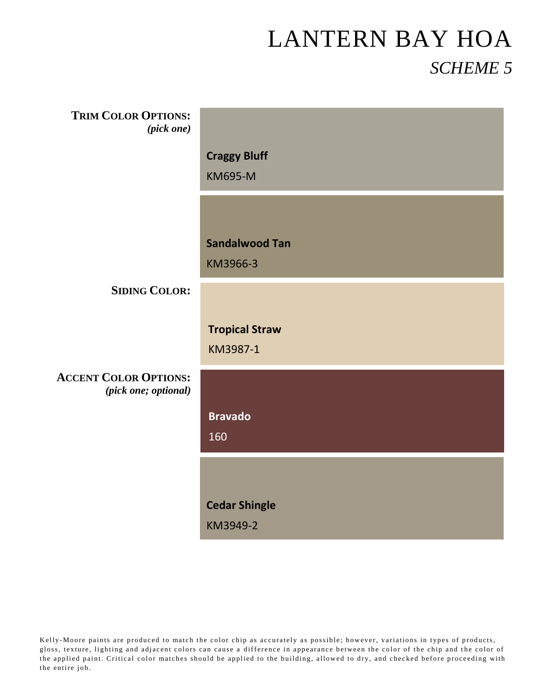| <b>TRIM COLOR OPTIONS:</b><br>$(pick \ one)$         |                                       |
|------------------------------------------------------|---------------------------------------|
|                                                      | <b>Craggy Bluff</b><br><b>KM695-M</b> |
|                                                      |                                       |
|                                                      | <b>Sandalwood Tan</b><br>KM3966-3     |
| <b>SIDING COLOR:</b>                                 |                                       |
|                                                      | <b>Tropical Straw</b><br>KM3987-1     |
| <b>ACCENT COLOR OPTIONS:</b><br>(pick one; optional) |                                       |
|                                                      | <b>Bravado</b><br>160                 |
|                                                      |                                       |
|                                                      | <b>Cedar Shingle</b><br>KM3949-2      |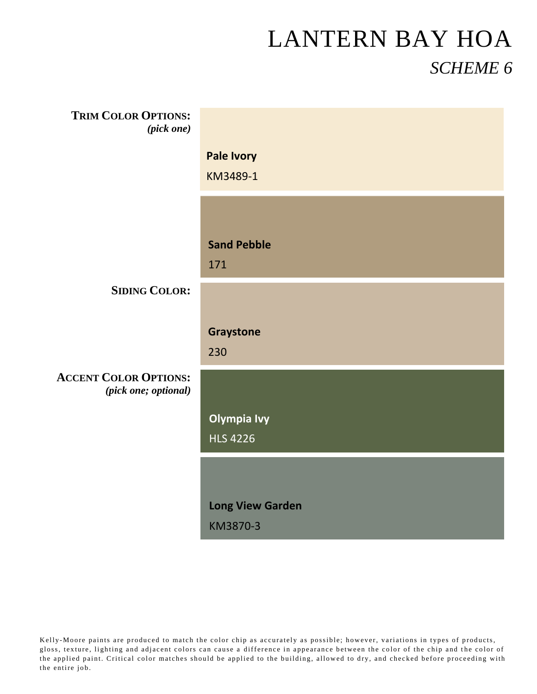| <b>TRIM COLOR OPTIONS:</b><br>(pick one)             |                                       |
|------------------------------------------------------|---------------------------------------|
|                                                      | <b>Pale Ivory</b><br>KM3489-1         |
|                                                      | <b>Sand Pebble</b><br>171             |
| <b>SIDING COLOR:</b>                                 |                                       |
|                                                      | Graystone<br>230                      |
| <b>ACCENT COLOR OPTIONS:</b><br>(pick one; optional) |                                       |
|                                                      | <b>Olympia Ivy</b><br><b>HLS 4226</b> |
|                                                      |                                       |
|                                                      | <b>Long View Garden</b><br>KM3870-3   |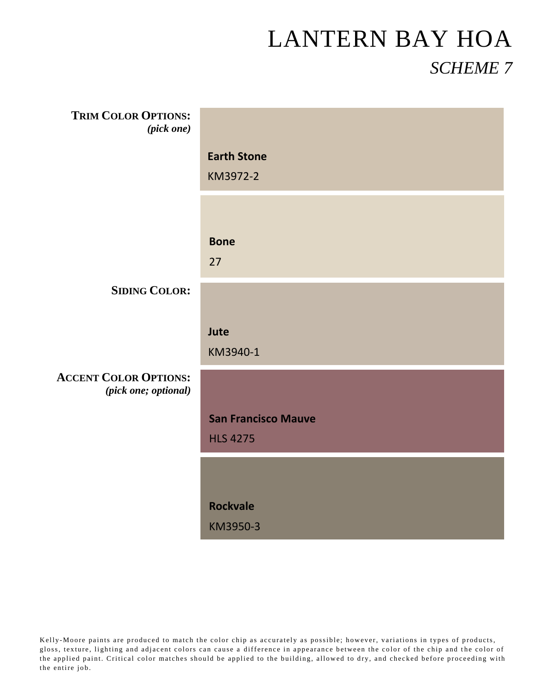| <b>TRIM COLOR OPTIONS:</b><br>(pick one)             |                            |
|------------------------------------------------------|----------------------------|
|                                                      | <b>Earth Stone</b>         |
|                                                      | KM3972-2                   |
|                                                      |                            |
|                                                      | <b>Bone</b>                |
|                                                      | 27                         |
| <b>SIDING COLOR:</b>                                 |                            |
|                                                      |                            |
|                                                      | Jute                       |
|                                                      | KM3940-1                   |
| <b>ACCENT COLOR OPTIONS:</b><br>(pick one; optional) |                            |
|                                                      | <b>San Francisco Mauve</b> |
|                                                      | <b>HLS 4275</b>            |
|                                                      |                            |
|                                                      | <b>Rockvale</b>            |
|                                                      | KM3950-3                   |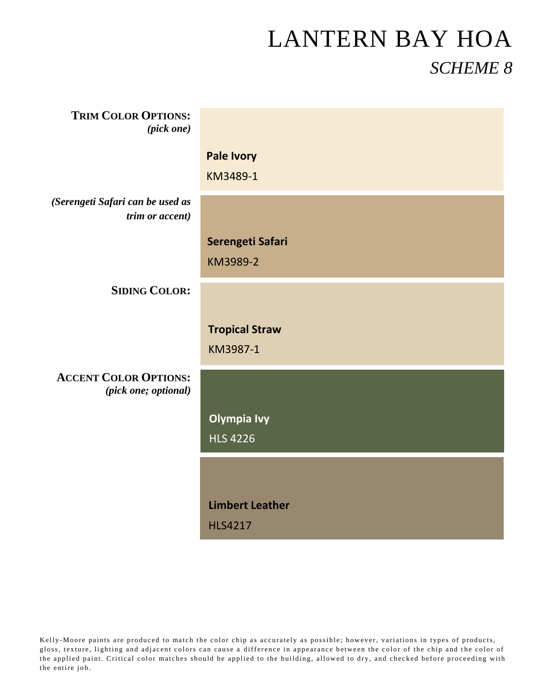| <b>TRIM COLOR OPTIONS:</b><br>(pick one)             |                                          |
|------------------------------------------------------|------------------------------------------|
|                                                      | <b>Pale Ivory</b><br>KM3489-1            |
| (Serengeti Safari can be used as<br>trim or accent)  |                                          |
|                                                      | Serengeti Safari<br>KM3989-2             |
| <b>SIDING COLOR:</b>                                 |                                          |
|                                                      | <b>Tropical Straw</b><br>KM3987-1        |
| <b>ACCENT COLOR OPTIONS:</b><br>(pick one; optional) |                                          |
|                                                      | <b>Olympia Ivy</b><br><b>HLS 4226</b>    |
|                                                      |                                          |
|                                                      | <b>Limbert Leather</b><br><b>HLS4217</b> |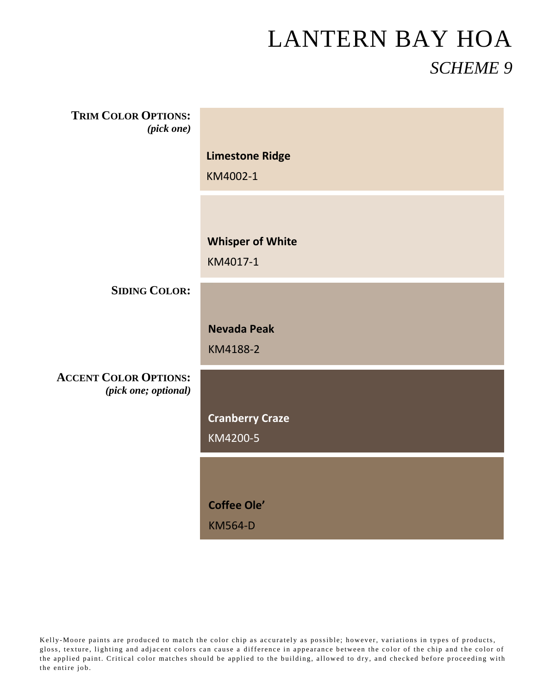| <b>TRIM COLOR OPTIONS:</b><br>(pick one)             |                                     |
|------------------------------------------------------|-------------------------------------|
|                                                      | <b>Limestone Ridge</b><br>KM4002-1  |
|                                                      |                                     |
|                                                      | <b>Whisper of White</b><br>KM4017-1 |
| <b>SIDING COLOR:</b>                                 |                                     |
|                                                      | <b>Nevada Peak</b><br>KM4188-2      |
| <b>ACCENT COLOR OPTIONS:</b><br>(pick one; optional) |                                     |
|                                                      | <b>Cranberry Craze</b>              |
|                                                      | KM4200-5                            |
|                                                      |                                     |
|                                                      | <b>Coffee Ole'</b>                  |
|                                                      | <b>KM564-D</b>                      |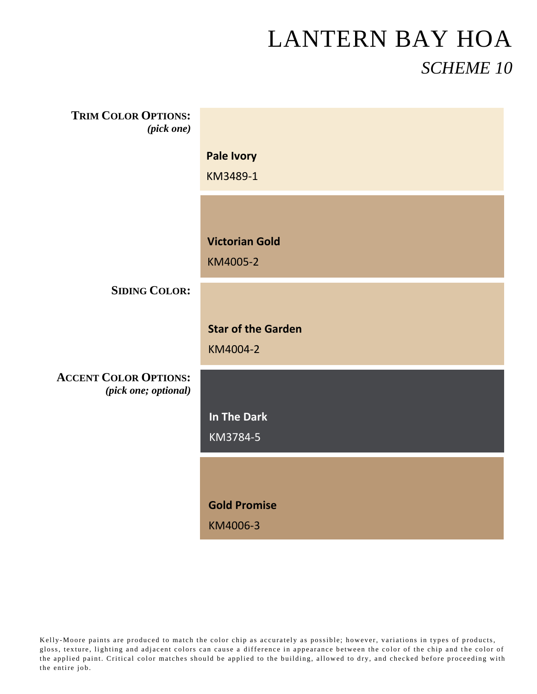| <b>TRIM COLOR OPTIONS:</b><br>(pick one)             |                                       |
|------------------------------------------------------|---------------------------------------|
|                                                      | Pale Ivory<br>KM3489-1                |
|                                                      | <b>Victorian Gold</b><br>KM4005-2     |
| <b>SIDING COLOR:</b>                                 |                                       |
|                                                      | <b>Star of the Garden</b><br>KM4004-2 |
| <b>ACCENT COLOR OPTIONS:</b><br>(pick one; optional) |                                       |
|                                                      | In The Dark<br>KM3784-5               |
|                                                      |                                       |
|                                                      | <b>Gold Promise</b><br>KM4006-3       |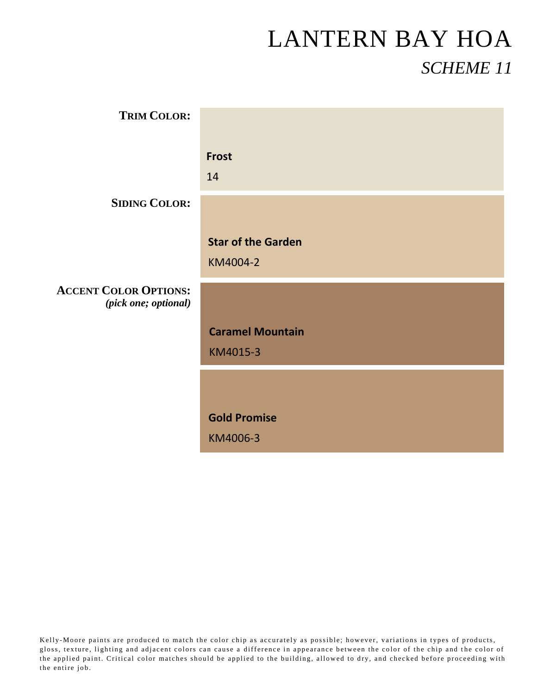| <b>TRIM COLOR:</b>                                   |                                       |
|------------------------------------------------------|---------------------------------------|
|                                                      | <b>Frost</b><br>14                    |
| <b>SIDING COLOR:</b>                                 |                                       |
|                                                      | <b>Star of the Garden</b><br>KM4004-2 |
| <b>ACCENT COLOR OPTIONS:</b><br>(pick one; optional) |                                       |
|                                                      | <b>Caramel Mountain</b><br>KM4015-3   |
|                                                      |                                       |
|                                                      | <b>Gold Promise</b><br>KM4006-3       |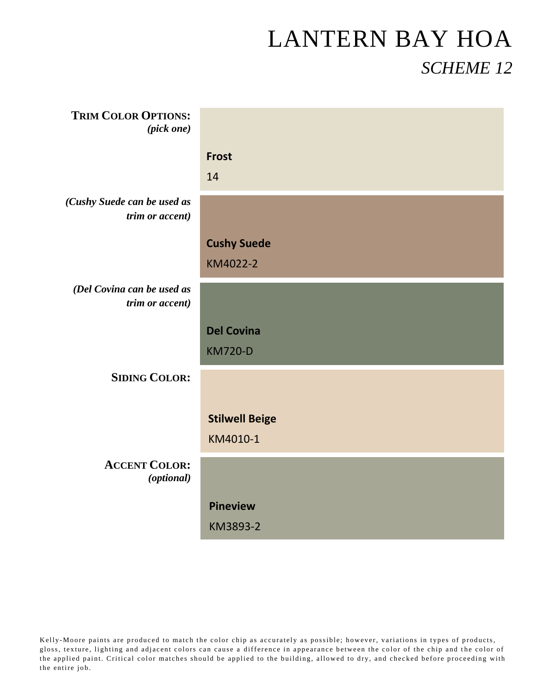| <b>TRIM COLOR OPTIONS:</b><br>(pick one)       |                       |
|------------------------------------------------|-----------------------|
|                                                | <b>Frost</b>          |
|                                                | 14                    |
| (Cushy Suede can be used as<br>trim or accent) |                       |
|                                                | <b>Cushy Suede</b>    |
|                                                | KM4022-2              |
| (Del Covina can be used as<br>trim or accent)  |                       |
|                                                | <b>Del Covina</b>     |
|                                                | <b>KM720-D</b>        |
| <b>SIDING COLOR:</b>                           |                       |
|                                                |                       |
|                                                | <b>Stilwell Beige</b> |
|                                                | KM4010-1              |
| <b>ACCENT COLOR:</b><br>(optional)             |                       |
|                                                | <b>Pineview</b>       |
|                                                | KM3893-2              |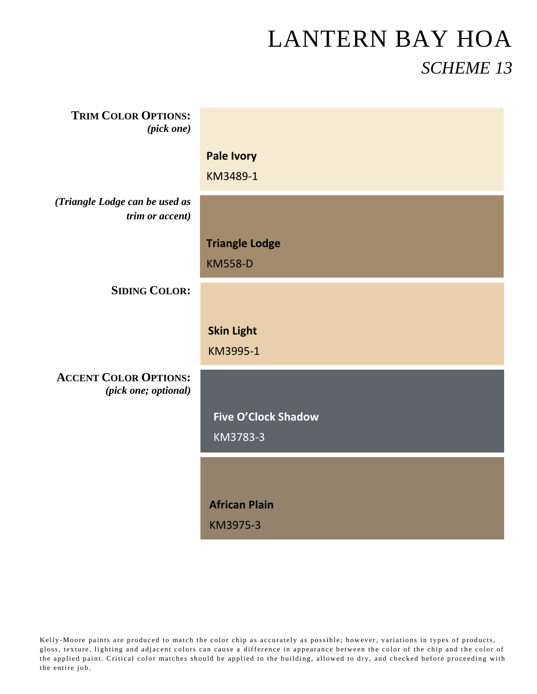| <b>TRIM COLOR OPTIONS:</b><br>(pick one)          |                                  |
|---------------------------------------------------|----------------------------------|
|                                                   | <b>Pale Ivory</b><br>KM3489-1    |
| (Triangle Lodge can be used as<br>trim or accent) |                                  |
|                                                   | <b>Triangle Lodge</b>            |
| <b>SIDING COLOR:</b>                              | <b>KM558-D</b>                   |
|                                                   | <b>Skin Light</b>                |
| <b>ACCENT COLOR OPTIONS:</b>                      | KM3995-1                         |
| (pick one; optional)                              | <b>Five O'Clock Shadow</b>       |
|                                                   | KM3783-3                         |
|                                                   |                                  |
|                                                   | <b>African Plain</b><br>KM3975-3 |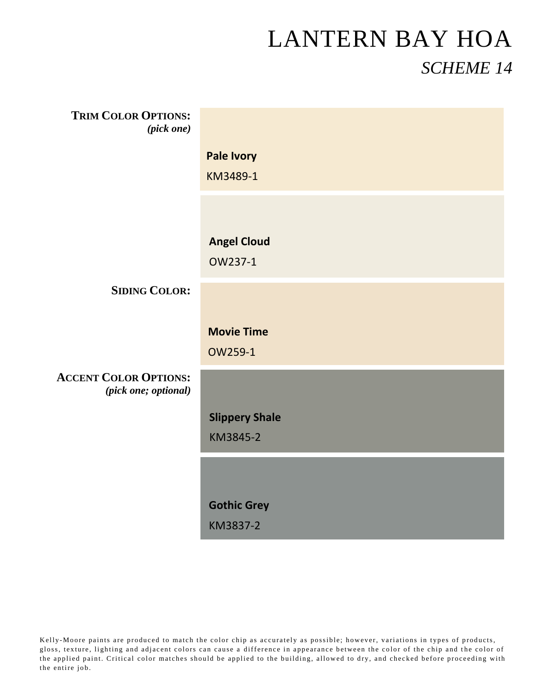| <b>TRIM COLOR OPTIONS:</b><br>$(pick \ one)$         |                                   |
|------------------------------------------------------|-----------------------------------|
|                                                      | <b>Pale Ivory</b><br>KM3489-1     |
|                                                      | <b>Angel Cloud</b>                |
|                                                      | OW237-1                           |
| <b>SIDING COLOR:</b>                                 |                                   |
|                                                      | <b>Movie Time</b><br>OW259-1      |
| <b>ACCENT COLOR OPTIONS:</b><br>(pick one; optional) |                                   |
|                                                      | <b>Slippery Shale</b><br>KM3845-2 |
|                                                      |                                   |
|                                                      | <b>Gothic Grey</b><br>KM3837-2    |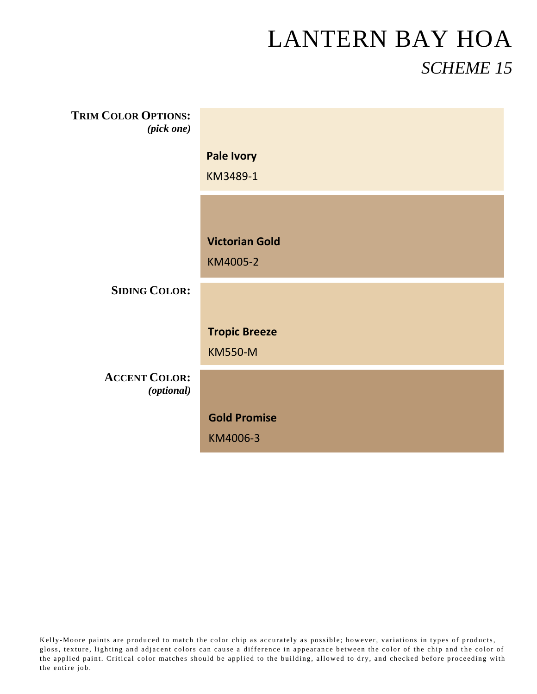| <b>TRIM COLOR OPTIONS:</b><br>(pick one) |                       |
|------------------------------------------|-----------------------|
|                                          | <b>Pale Ivory</b>     |
|                                          | KM3489-1              |
|                                          |                       |
|                                          | <b>Victorian Gold</b> |
|                                          | KM4005-2              |
| <b>SIDING COLOR:</b>                     |                       |
|                                          | <b>Tropic Breeze</b>  |
|                                          | <b>KM550-M</b>        |
| <b>ACCENT COLOR:</b><br>(optional)       |                       |
|                                          | <b>Gold Promise</b>   |
|                                          | KM4006-3              |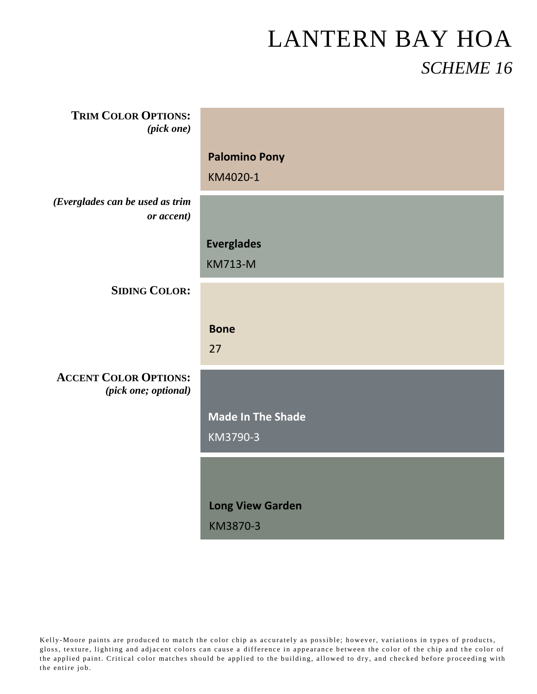| <b>TRIM COLOR OPTIONS:</b>                           |                          |
|------------------------------------------------------|--------------------------|
| $(pick \ one)$                                       |                          |
|                                                      | <b>Palomino Pony</b>     |
|                                                      |                          |
|                                                      | KM4020-1                 |
| (Everglades can be used as trim                      |                          |
| or accent)                                           |                          |
|                                                      |                          |
|                                                      | <b>Everglades</b>        |
|                                                      | <b>KM713-M</b>           |
| <b>SIDING COLOR:</b>                                 |                          |
|                                                      |                          |
|                                                      |                          |
|                                                      | <b>Bone</b>              |
|                                                      | 27                       |
|                                                      |                          |
| <b>ACCENT COLOR OPTIONS:</b><br>(pick one; optional) |                          |
|                                                      |                          |
|                                                      | <b>Made In The Shade</b> |
|                                                      | KM3790-3                 |
|                                                      |                          |
|                                                      |                          |
|                                                      |                          |
|                                                      | <b>Long View Garden</b>  |
|                                                      |                          |
|                                                      | KM3870-3                 |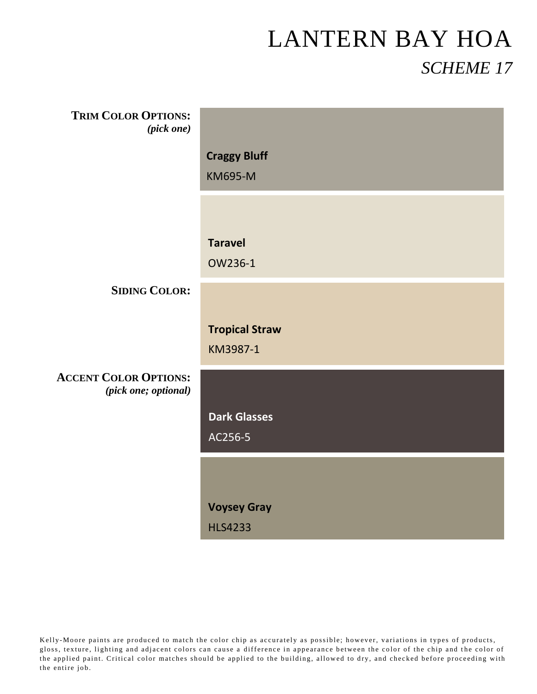| <b>TRIM COLOR OPTIONS:</b><br>$(pick \ one)$         |                       |
|------------------------------------------------------|-----------------------|
|                                                      | <b>Craggy Bluff</b>   |
|                                                      | <b>KM695-M</b>        |
|                                                      |                       |
|                                                      | <b>Taravel</b>        |
|                                                      | OW236-1               |
| <b>SIDING COLOR:</b>                                 |                       |
|                                                      | <b>Tropical Straw</b> |
|                                                      | KM3987-1              |
| <b>ACCENT COLOR OPTIONS:</b><br>(pick one; optional) |                       |
|                                                      | <b>Dark Glasses</b>   |
|                                                      | AC256-5               |
|                                                      |                       |
|                                                      | <b>Voysey Gray</b>    |
|                                                      | <b>HLS4233</b>        |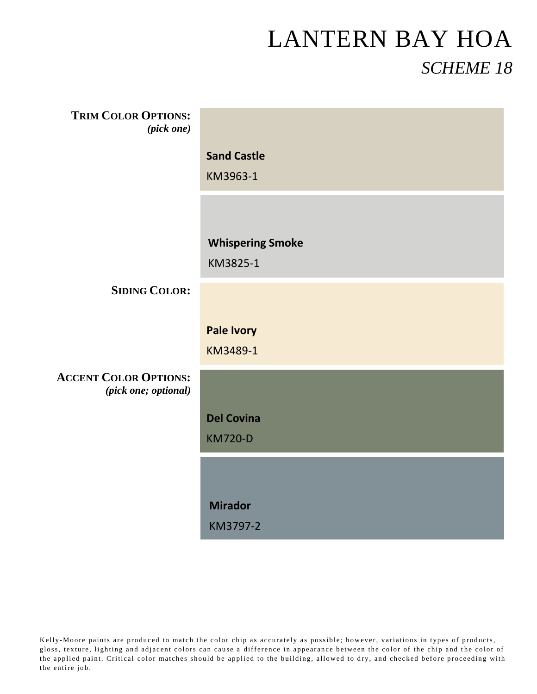| <b>TRIM COLOR OPTIONS:</b><br>(pick one)             |                                     |
|------------------------------------------------------|-------------------------------------|
|                                                      | <b>Sand Castle</b><br>KM3963-1      |
|                                                      |                                     |
|                                                      | <b>Whispering Smoke</b><br>KM3825-1 |
| <b>SIDING COLOR:</b>                                 |                                     |
|                                                      | Pale Ivory<br>KM3489-1              |
| <b>ACCENT COLOR OPTIONS:</b><br>(pick one; optional) |                                     |
|                                                      | <b>Del Covina</b>                   |
|                                                      | <b>KM720-D</b>                      |
|                                                      |                                     |
|                                                      | <b>Mirador</b>                      |
|                                                      | KM3797-2                            |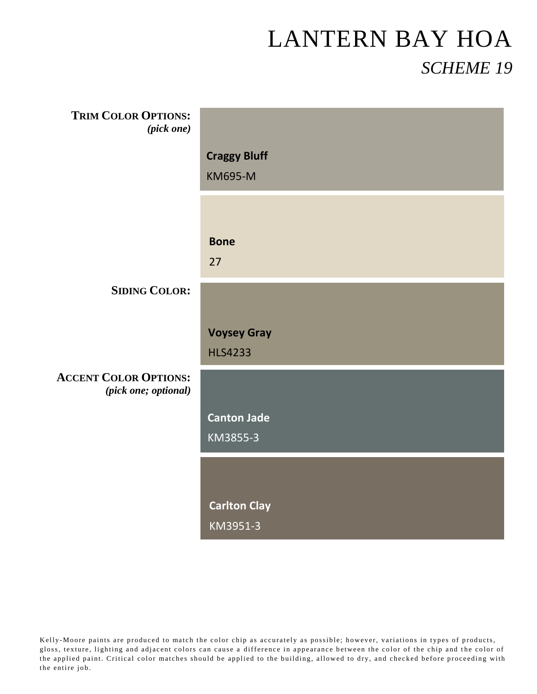| <b>TRIM COLOR OPTIONS:</b><br>(pick one)             |                                      |
|------------------------------------------------------|--------------------------------------|
|                                                      | <b>Craggy Bluff</b>                  |
|                                                      | <b>KM695-M</b>                       |
|                                                      |                                      |
|                                                      | <b>Bone</b>                          |
|                                                      | 27                                   |
| <b>SIDING COLOR:</b>                                 |                                      |
|                                                      |                                      |
|                                                      | <b>Voysey Gray</b><br><b>HLS4233</b> |
| <b>ACCENT COLOR OPTIONS:</b><br>(pick one; optional) |                                      |
|                                                      | <b>Canton Jade</b>                   |
|                                                      | KM3855-3                             |
|                                                      |                                      |
|                                                      | <b>Carlton Clay</b>                  |
|                                                      | KM3951-3                             |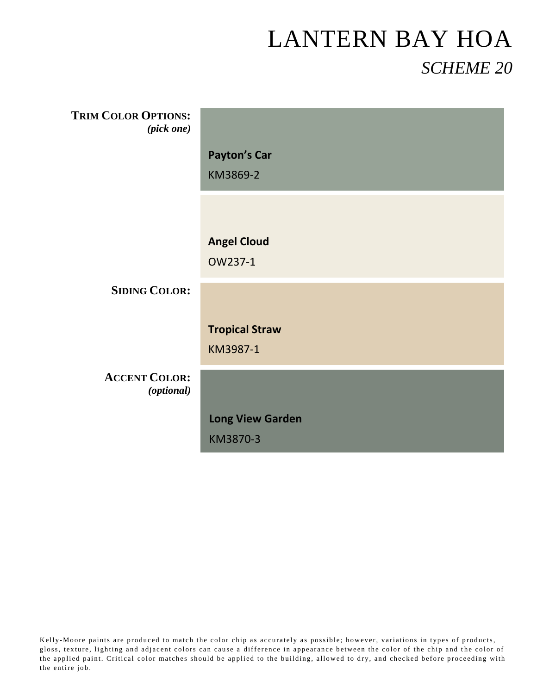| <b>TRIM COLOR OPTIONS:</b><br>(pick one) |                         |
|------------------------------------------|-------------------------|
|                                          | <b>Payton's Car</b>     |
|                                          | KM3869-2                |
|                                          |                         |
|                                          |                         |
|                                          | <b>Angel Cloud</b>      |
|                                          | OW237-1                 |
| <b>SIDING COLOR:</b>                     |                         |
|                                          | <b>Tropical Straw</b>   |
|                                          | KM3987-1                |
| <b>ACCENT COLOR:</b><br>(optional)       |                         |
|                                          | <b>Long View Garden</b> |
|                                          | KM3870-3                |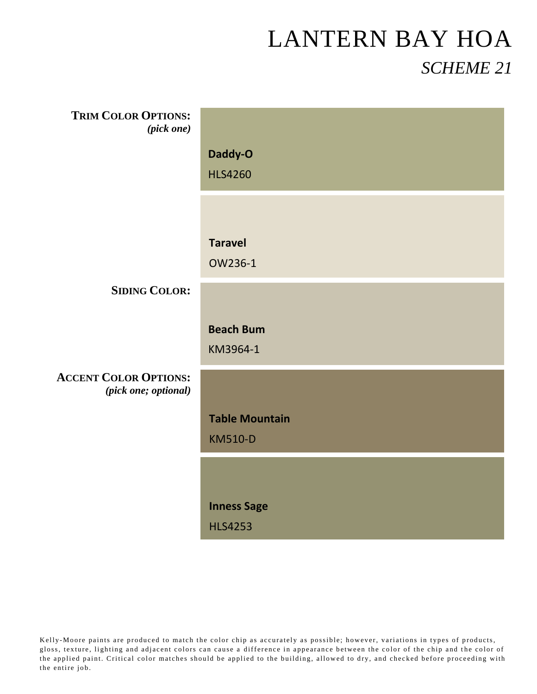| <b>TRIM COLOR OPTIONS:</b><br>(pick one)             |                       |
|------------------------------------------------------|-----------------------|
|                                                      | Daddy-O               |
|                                                      | <b>HLS4260</b>        |
|                                                      |                       |
|                                                      | <b>Taravel</b>        |
|                                                      | OW236-1               |
| <b>SIDING COLOR:</b>                                 |                       |
|                                                      | <b>Beach Bum</b>      |
|                                                      | KM3964-1              |
| <b>ACCENT COLOR OPTIONS:</b><br>(pick one; optional) |                       |
|                                                      | <b>Table Mountain</b> |
|                                                      | <b>KM510-D</b>        |
|                                                      |                       |
|                                                      | <b>Inness Sage</b>    |
|                                                      | <b>HLS4253</b>        |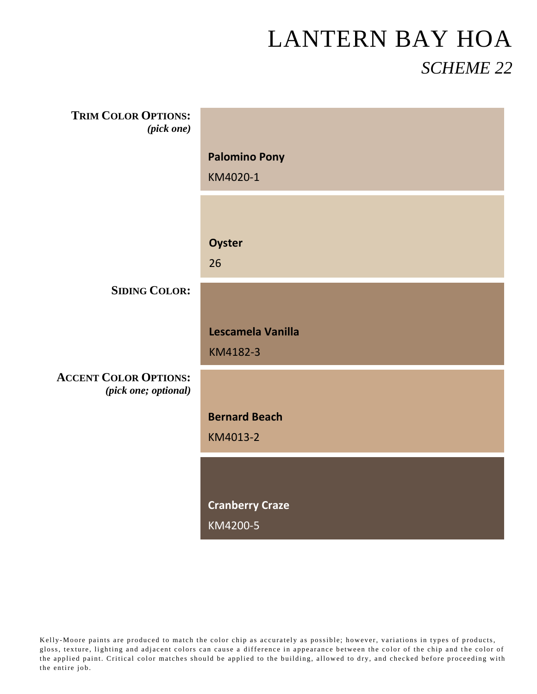| <b>TRIM COLOR OPTIONS:</b><br>(pick one)             |                                    |
|------------------------------------------------------|------------------------------------|
|                                                      | <b>Palomino Pony</b><br>KM4020-1   |
|                                                      |                                    |
|                                                      | <b>Oyster</b>                      |
|                                                      | 26                                 |
| <b>SIDING COLOR:</b>                                 |                                    |
|                                                      | Lescamela Vanilla<br>KM4182-3      |
| <b>ACCENT COLOR OPTIONS:</b><br>(pick one; optional) |                                    |
|                                                      | <b>Bernard Beach</b>               |
|                                                      | KM4013-2                           |
|                                                      |                                    |
|                                                      | <b>Cranberry Craze</b><br>KM4200-5 |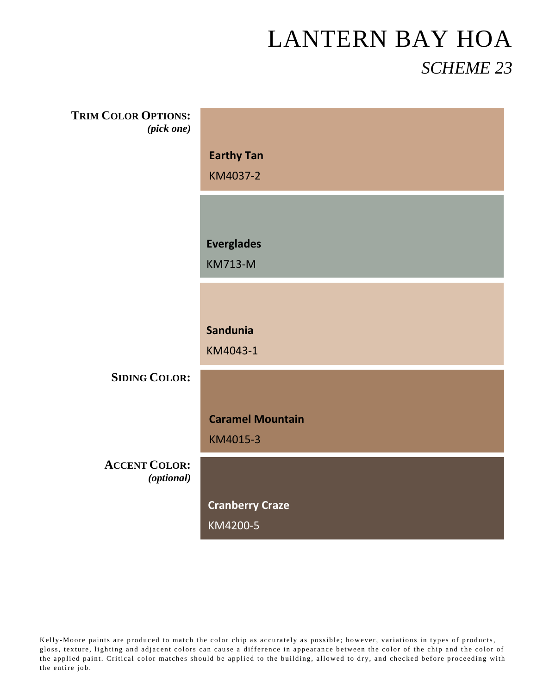| <b>TRIM COLOR OPTIONS:</b><br>$(pick \ one)$ |                         |
|----------------------------------------------|-------------------------|
|                                              | <b>Earthy Tan</b>       |
|                                              | KM4037-2                |
|                                              |                         |
|                                              | <b>Everglades</b>       |
|                                              | <b>KM713-M</b>          |
|                                              |                         |
|                                              | <b>Sandunia</b>         |
|                                              | KM4043-1                |
| <b>SIDING COLOR:</b>                         |                         |
|                                              |                         |
|                                              | <b>Caramel Mountain</b> |
|                                              | KM4015-3                |
| <b>ACCENT COLOR:</b><br>(optional)           |                         |
|                                              | <b>Cranberry Craze</b>  |
|                                              | KM4200-5                |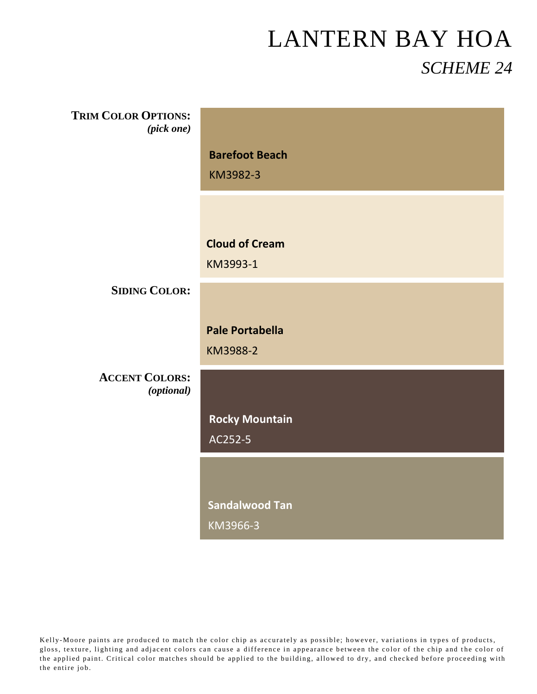| <b>TRIM COLOR OPTIONS:</b><br>$(pick \ one)$ |                        |
|----------------------------------------------|------------------------|
|                                              | <b>Barefoot Beach</b>  |
|                                              | KM3982-3               |
|                                              |                        |
|                                              | <b>Cloud of Cream</b>  |
|                                              | KM3993-1               |
| <b>SIDING COLOR:</b>                         |                        |
|                                              | <b>Pale Portabella</b> |
|                                              | KM3988-2               |
| <b>ACCENT COLORS:</b><br>(optional)          |                        |
|                                              | <b>Rocky Mountain</b>  |
|                                              | AC252-5                |
|                                              |                        |
|                                              | <b>Sandalwood Tan</b>  |
|                                              | KM3966-3               |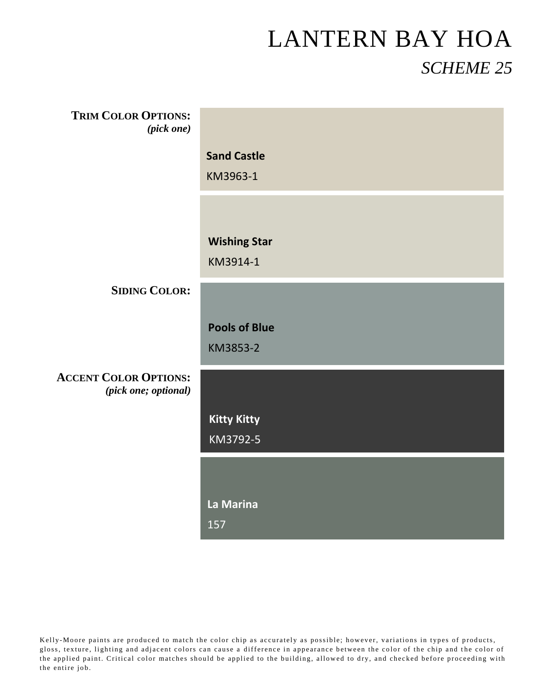| <b>TRIM COLOR OPTIONS:</b><br>$(pick \ one)$         |                                 |
|------------------------------------------------------|---------------------------------|
|                                                      | <b>Sand Castle</b>              |
|                                                      | KM3963-1                        |
|                                                      |                                 |
|                                                      | <b>Wishing Star</b><br>KM3914-1 |
| <b>SIDING COLOR:</b>                                 |                                 |
|                                                      | <b>Pools of Blue</b>            |
|                                                      | KM3853-2                        |
| <b>ACCENT COLOR OPTIONS:</b><br>(pick one; optional) |                                 |
|                                                      | <b>Kitty Kitty</b>              |
|                                                      | KM3792-5                        |
|                                                      |                                 |
|                                                      | La Marina                       |
|                                                      | 157                             |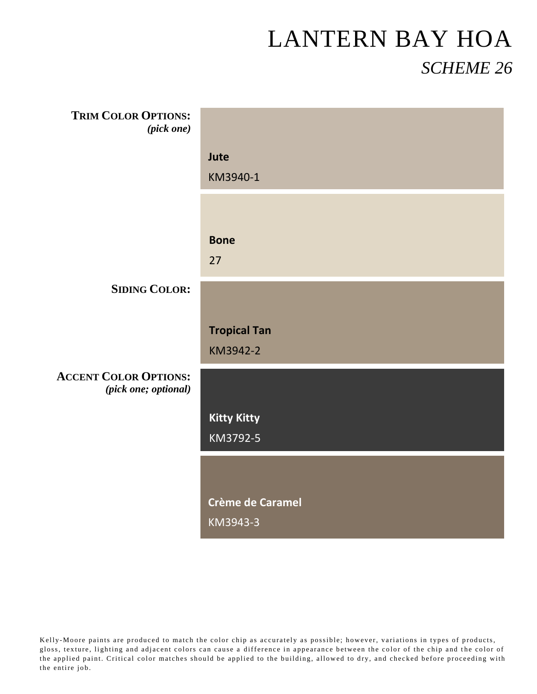| Jute                |
|---------------------|
| KM3940-1            |
|                     |
| <b>Bone</b>         |
| 27                  |
|                     |
|                     |
| <b>Tropical Tan</b> |
| KM3942-2            |
|                     |
| <b>Kitty Kitty</b>  |
| KM3792-5            |
|                     |
| Crème de Caramel    |
| KM3943-3            |
|                     |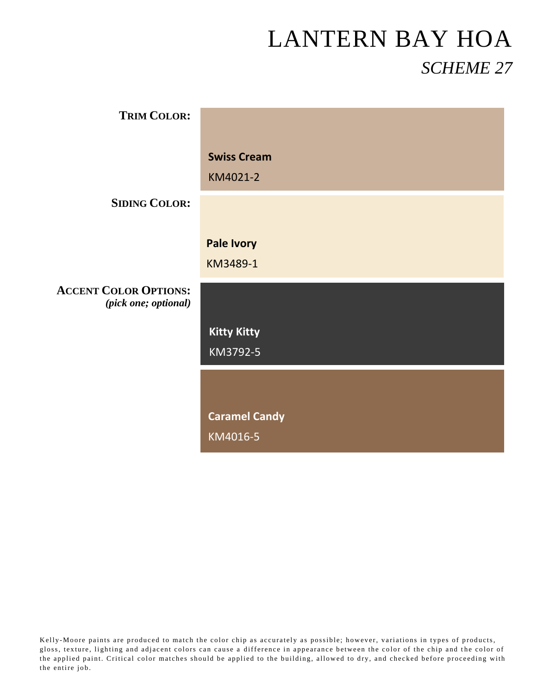| <b>TRIM COLOR:</b>                                   |                      |
|------------------------------------------------------|----------------------|
|                                                      |                      |
|                                                      | <b>Swiss Cream</b>   |
|                                                      | KM4021-2             |
| <b>SIDING COLOR:</b>                                 |                      |
|                                                      |                      |
|                                                      | <b>Pale Ivory</b>    |
|                                                      | KM3489-1             |
| <b>ACCENT COLOR OPTIONS:</b><br>(pick one; optional) |                      |
|                                                      | <b>Kitty Kitty</b>   |
|                                                      | KM3792-5             |
|                                                      |                      |
|                                                      |                      |
|                                                      | <b>Caramel Candy</b> |
|                                                      | KM4016-5             |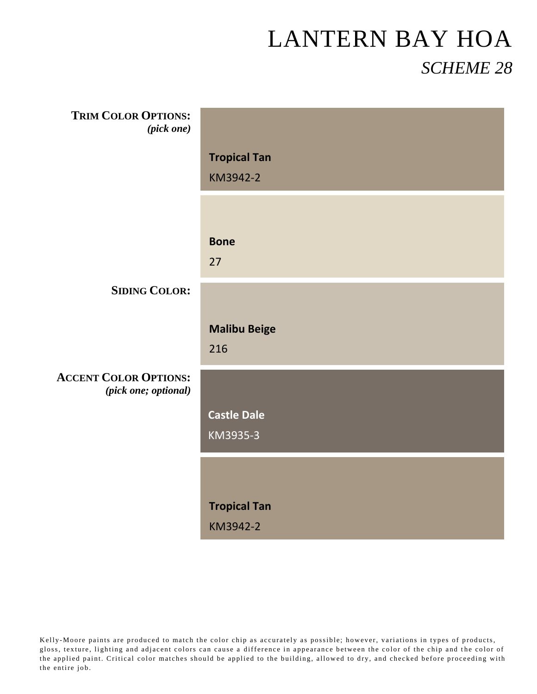| <b>TRIM COLOR OPTIONS:</b><br>(pick one)             |                                 |
|------------------------------------------------------|---------------------------------|
|                                                      | <b>Tropical Tan</b><br>KM3942-2 |
|                                                      |                                 |
|                                                      | <b>Bone</b>                     |
| <b>SIDING COLOR:</b>                                 | 27                              |
|                                                      | <b>Malibu Beige</b>             |
|                                                      | 216                             |
| <b>ACCENT COLOR OPTIONS:</b><br>(pick one; optional) |                                 |
|                                                      | <b>Castle Dale</b><br>KM3935-3  |
|                                                      |                                 |
|                                                      | <b>Tropical Tan</b><br>KM3942-2 |